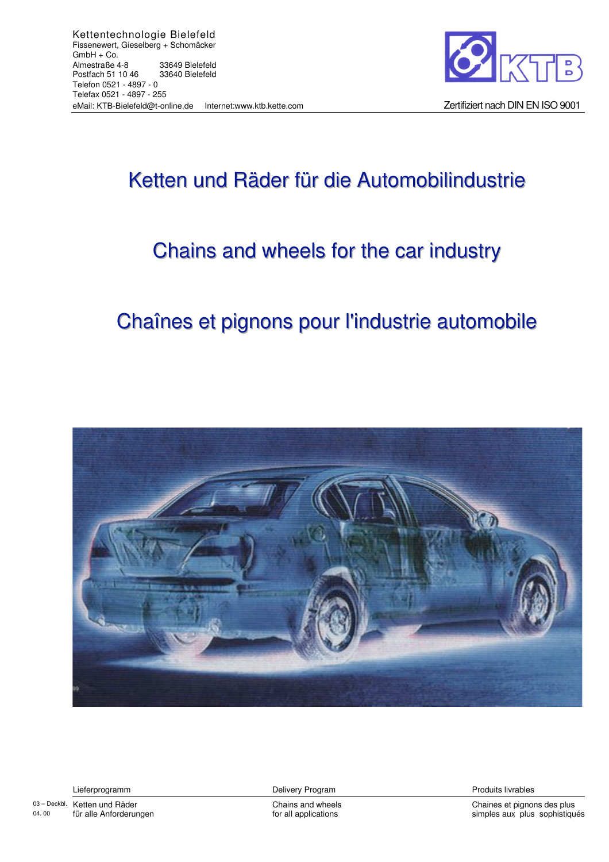

# Ketten und Räder für die Automobilindustrie

# Chains and wheels for the car industry

# Chaînes et pignons pour l'industrie automobile



Lieferprogramm

03-Deckbl. Ketten und Räder 04.00 für alle Anforderungen Delivery Program

Chains and wheels for all applications

Produits livrables

Chaines et pignons des plus simples aux plus sophistiqués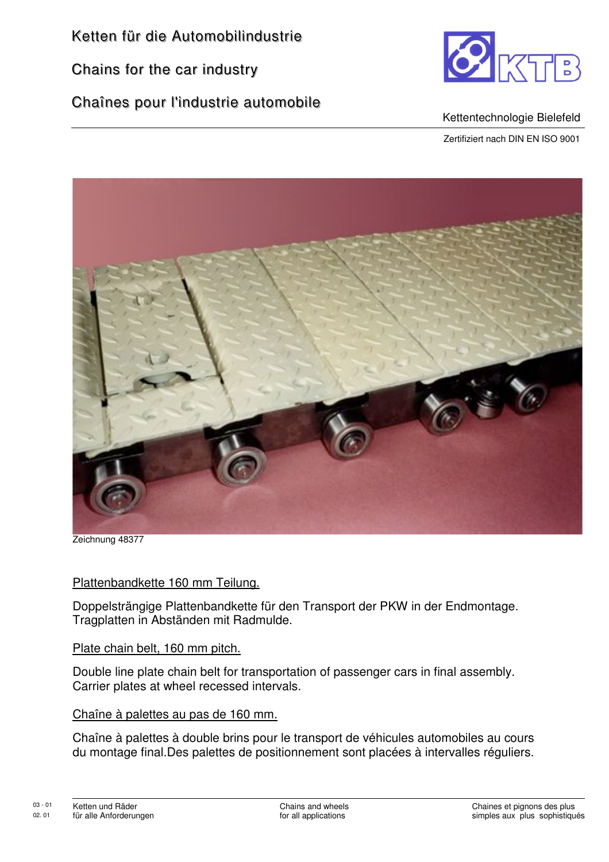Chains for the car industry

Chaînes pour l'industrie automobile



#### Kettentechnologie Bielefeld

Zertifiziert nach DIN EN ISO 9001



Zeichnung 48377

#### Plattenbandkette 160 mm Teilung.

Doppelsträngige Plattenbandkette für den Transport der PKW in der Endmontage. Tragplatten in Abständen mit Radmulde.

#### Plate chain belt, 160 mm pitch.

Double line plate chain belt for transportation of passenger cars in final assembly. Carrier plates at wheel recessed intervals.

#### Chaîne à palettes au pas de 160 mm.

Chaîne à palettes à double brins pour le transport de véhicules automobiles au cours du montage final.Des palettes de positionnement sont placées à intervalles réguliers.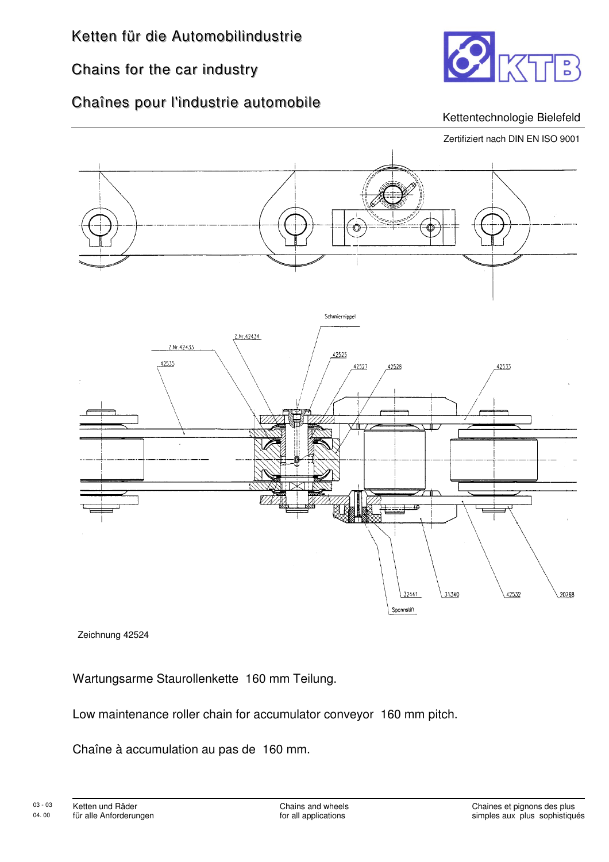## Chains for the car industry



### Chaînes pour l'industrie automobile

#### Kettentechnologie Bielefeld



Zeichnung 42524

Wartungsarme Staurollenkette 160 mm Teilung.

Low maintenance roller chain for accumulator conveyor 160 mm pitch.

Chaîne à accumulation au pas de 160 mm.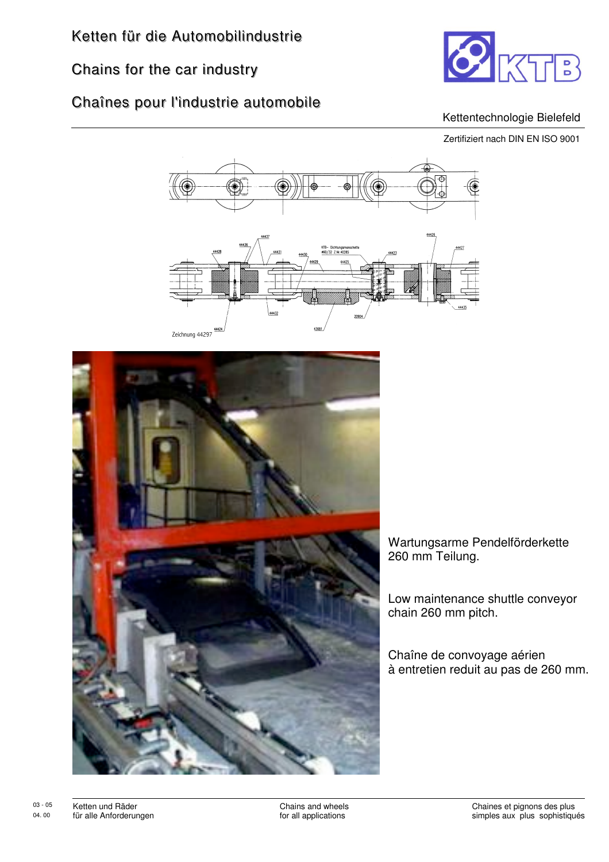# Chains for the car industry



### Chaînes pour l'industrie automobile

#### Kettentechnologie Bielefeld

Zertifiziert nach DIN EN ISO 9001

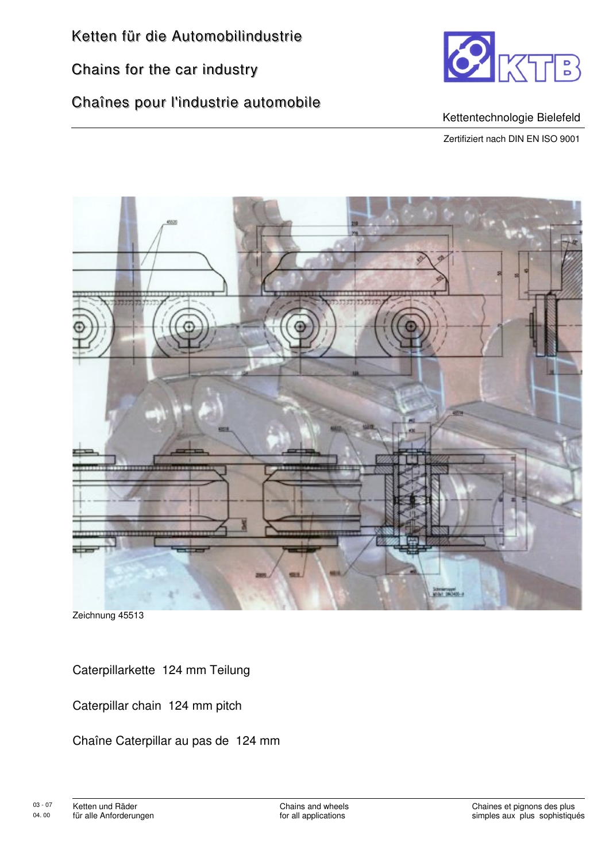Chains for the car industry

## Chaînes pour l'industrie automobile



#### Kettentechnologie Bielefeld

Zertifiziert nach DIN EN ISO 9001



Zeichnung 45513

Caterpillarkette 124 mm Teilung

Caterpillar chain 124 mm pitch

Chaîne Caterpillar au pas de 124 mm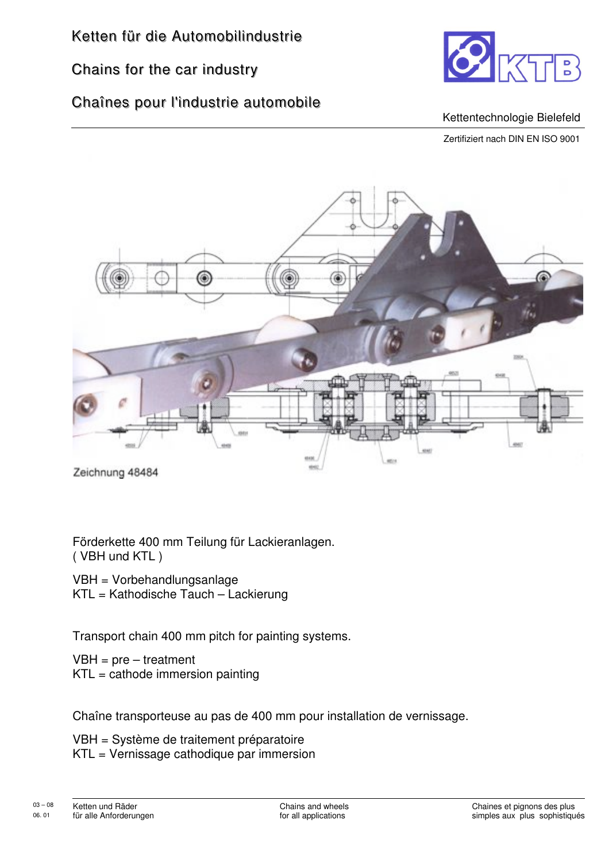## Chains for the car industry

## Chaînes pour l'industrie automobile



#### Kettentechnologie Bielefeld

Zertifiziert nach DIN EN ISO 9001



Zeichnung 48484

Förderkette 400 mm Teilung für Lackieranlagen. ( VBH und KTL )

VBH = Vorbehandlungsanlage KTL = Kathodische Tauch – Lackierung

Transport chain 400 mm pitch for painting systems.

 $VBH = pre - treatment$  $KTL =$  cathode immersion painting

Chaîne transporteuse au pas de 400 mm pour installation de vernissage.

VBH = Système de traitement préparatoire KTL = Vernissage cathodique par immersion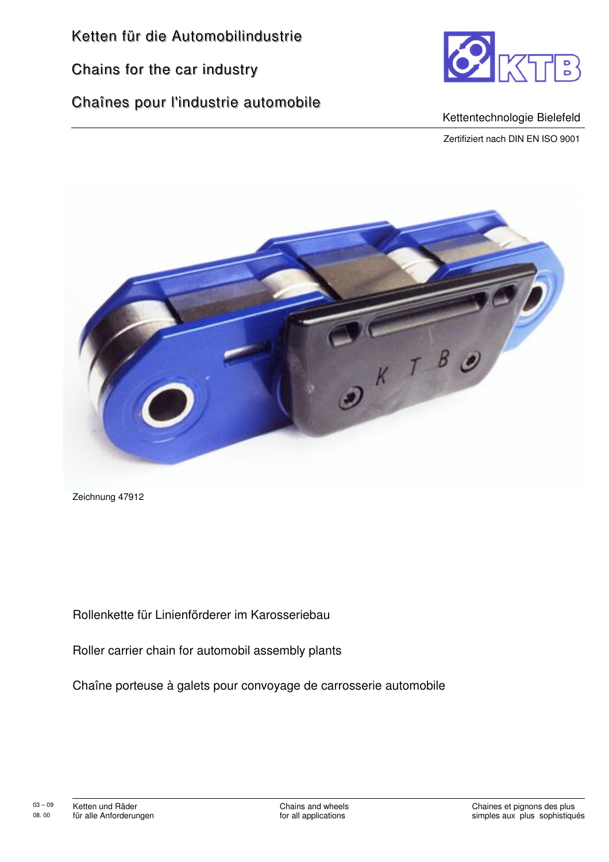Chains for the car industry

### Chaînes pour l'industrie automobile



#### Kettentechnologie Bielefeld

Zertifiziert nach DIN EN ISO 9001



Zeichnung 47912

Rollenkette für Linienförderer im Karosseriebau

Roller carrier chain for automobil assembly plants

Chaîne porteuse à galets pour convoyage de carrosserie automobile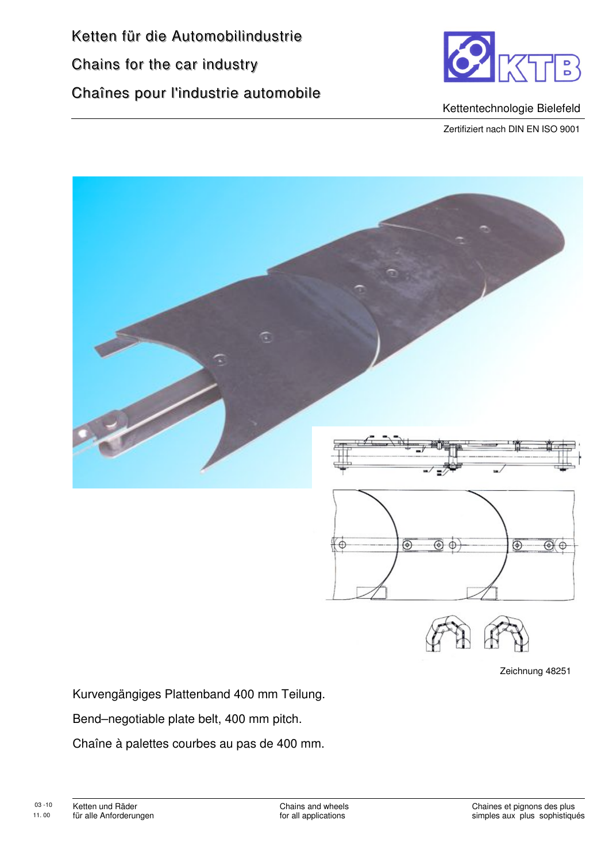Ketten für die Automobilindustrie Chains for the car industry Chaînes pour l'industrie automobile



Kettentechnologie Bielefeld

Zertifiziert nach DIN EN ISO 9001



Zeichnung 48251

Kurvengängiges Plattenband 400 mm Teilung.

Bend–negotiable plate belt, 400 mm pitch.

Chaîne à palettes courbes au pas de 400 mm.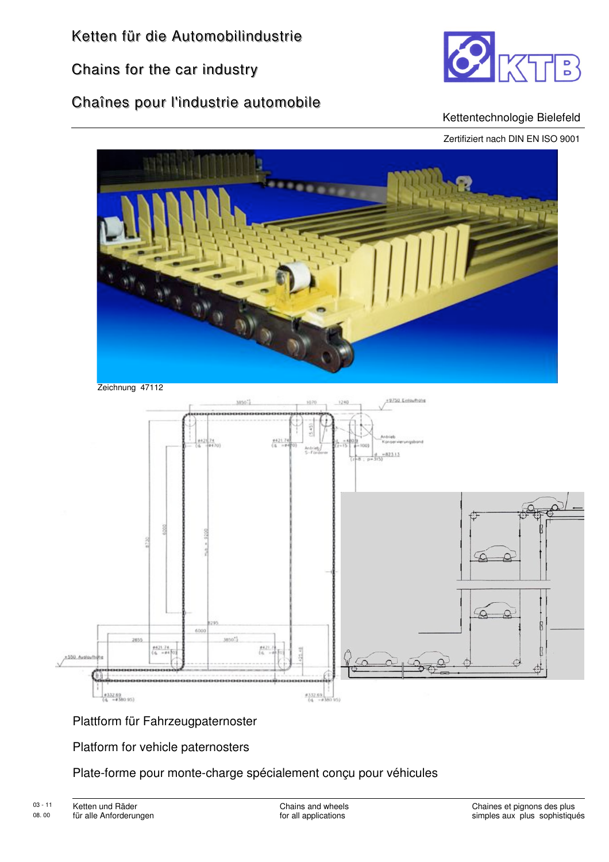Chains for the car industry

Chaînes pour l'industrie automobile



#### Kettentechnologie Bielefeld

Zertifiziert nach DIN EN ISO 9001





#### Plattform für Fahrzeugpaternoster

Platform for vehicle paternosters

#### Plate-forme pour monte-charge spécialement conçu pour véhicules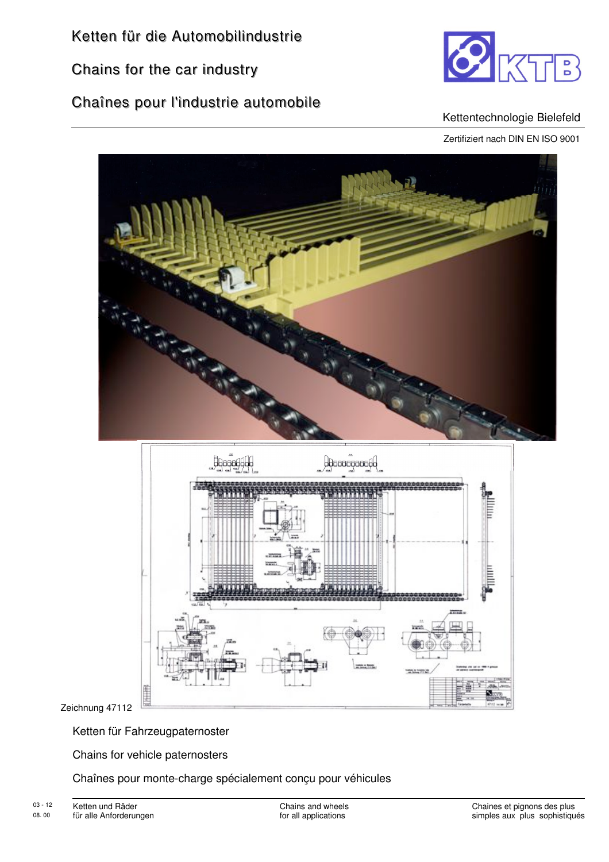Chains for the car industry

Chaînes pour l'industrie automobile



#### Kettentechnologie Bielefeld

Zertifiziert nach DIN EN ISO 9001





Zeichnung 47112

Ketten für Fahrzeugpaternoster

Chains for vehicle paternosters

Chaînes pour monte-charge spécialement conçu pour véhicules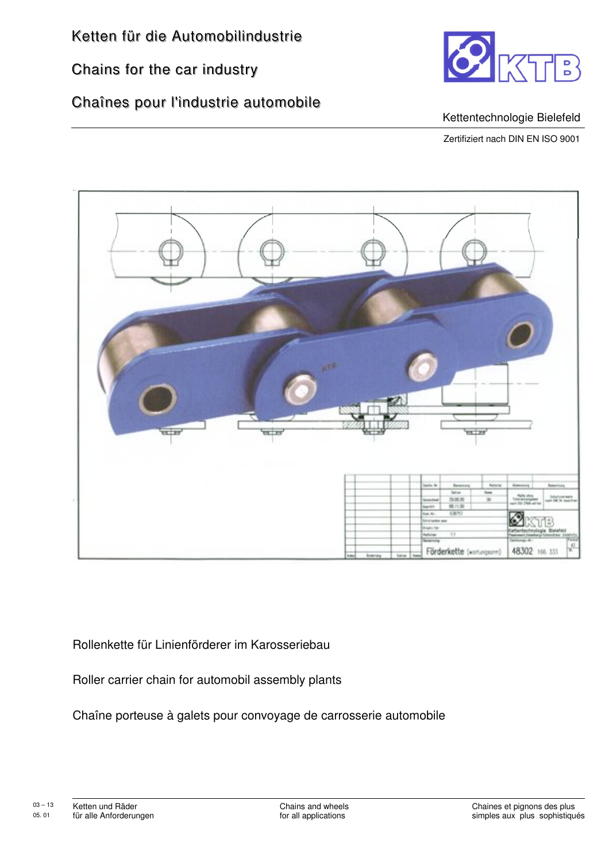Chains for the car industry

## Chaînes pour l'industrie automobile



#### Kettentechnologie Bielefeld

Zertifiziert nach DIN EN ISO 9001



Rollenkette für Linienförderer im Karosseriebau

Roller carrier chain for automobil assembly plants

Chaîne porteuse à galets pour convoyage de carrosserie automobile